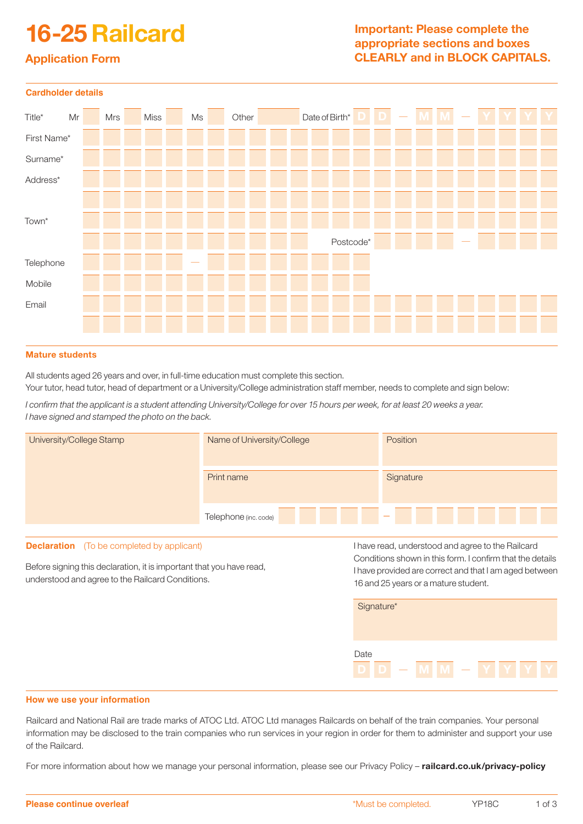# 16-25 Railcard

# Important: Please complete the appropriate sections and boxes CLEARLY and in BLOCK CAPITALS.

# Application Form

| <b>Cardholder details</b> |    |  |     |  |      |  |    |  |       |  |  |                |           |   |  |       |   |  |  |
|---------------------------|----|--|-----|--|------|--|----|--|-------|--|--|----------------|-----------|---|--|-------|---|--|--|
| $Title*$                  | Mr |  | Mrs |  | Miss |  | Ms |  | Other |  |  | Date of Birth* |           | D |  | M   M | Y |  |  |
| First Name*               |    |  |     |  |      |  |    |  |       |  |  |                |           |   |  |       |   |  |  |
| Surname*                  |    |  |     |  |      |  |    |  |       |  |  |                |           |   |  |       |   |  |  |
| Address*                  |    |  |     |  |      |  |    |  |       |  |  |                |           |   |  |       |   |  |  |
|                           |    |  |     |  |      |  |    |  |       |  |  |                |           |   |  |       |   |  |  |
| Town*                     |    |  |     |  |      |  |    |  |       |  |  |                |           |   |  |       |   |  |  |
|                           |    |  |     |  |      |  |    |  |       |  |  |                | Postcode* |   |  |       |   |  |  |
| Telephone                 |    |  |     |  |      |  |    |  |       |  |  |                |           |   |  |       |   |  |  |
| Mobile                    |    |  |     |  |      |  |    |  |       |  |  |                |           |   |  |       |   |  |  |
| Email                     |    |  |     |  |      |  |    |  |       |  |  |                |           |   |  |       |   |  |  |
|                           |    |  |     |  |      |  |    |  |       |  |  |                |           |   |  |       |   |  |  |

## Mature students

All students aged 26 years and over, in full-time education must complete this section. Your tutor, head tutor, head of department or a University/College administration staff member, needs to complete and sign below:

*I confirm that the applicant is a student attending University/College for over 15 hours per week, for at least 20 weeks a year. I have signed and stamped the photo on the back.* 

| University/College Stamp                                                                                                 | Name of University/College | Position                                                                                                                                                    |  |  |  |  |  |  |
|--------------------------------------------------------------------------------------------------------------------------|----------------------------|-------------------------------------------------------------------------------------------------------------------------------------------------------------|--|--|--|--|--|--|
|                                                                                                                          | Print name                 | Signature                                                                                                                                                   |  |  |  |  |  |  |
|                                                                                                                          | Telephone (inc. code)      |                                                                                                                                                             |  |  |  |  |  |  |
| <b>Declaration</b> (To be completed by applicant)                                                                        |                            | I have read, understood and agree to the Railcard                                                                                                           |  |  |  |  |  |  |
| Before signing this declaration, it is important that you have read,<br>understood and agree to the Railcard Conditions. |                            | Conditions shown in this form. I confirm that the details<br>I have provided are correct and that I am aged between<br>16 and 25 years or a mature student. |  |  |  |  |  |  |
|                                                                                                                          |                            | Signature*                                                                                                                                                  |  |  |  |  |  |  |
|                                                                                                                          | Date                       |                                                                                                                                                             |  |  |  |  |  |  |

### **How we use your information**

Railcard and National Rail are trade marks of ATOC Ltd. ATOC Ltd manages Railcards on behalf of the train companies. Your personal information may be disclosed to the train companies who run services in your region in order for them to administer and support your use of the Railcard.

For more information about how we manage your personal information, please see our Privacy Policy - railcard.co.uk/privacy-policy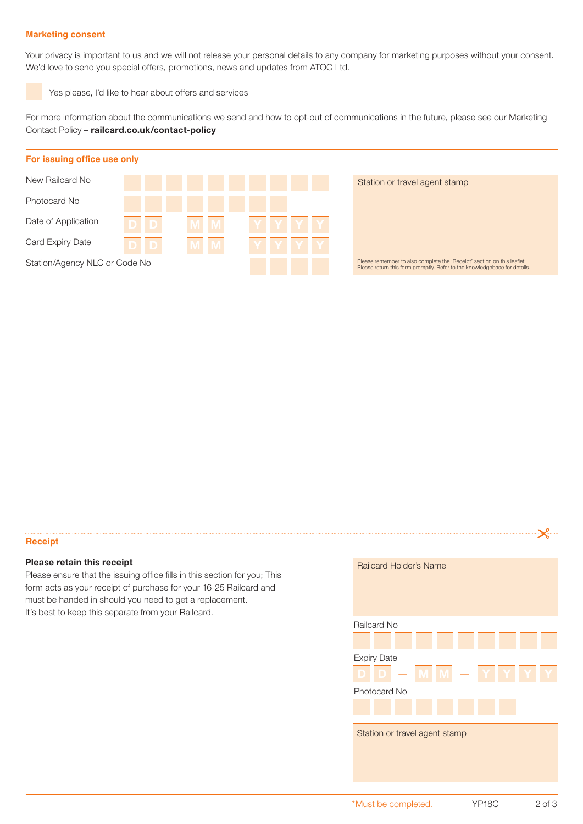#### **Marketing consent**

Your privacy is important to us and we will not release your personal details to any company for marketing purposes without your consent. We'd love to send you special offers, promotions, news and updates from ATOC Ltd.

Yes please, I'd like to hear about offers and services

For more information about the communications we send and how to opt-out of communications in the future, please see our Marketing Contact Policy – railcard.co.uk/contact-policy



#### **Receipt**

# Please retain this receipt

Please ensure that the issuing office fills in this section for you; This form acts as your receipt of purchase for your 16-25 Railcard and must be handed in should you need to get a replacement. It's best to keep this separate from your Railcard.